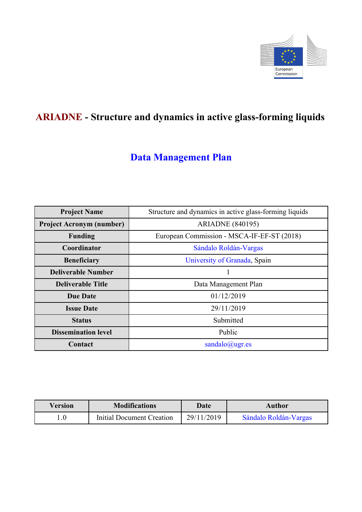

# **ARIADNE - Structure and dynamics in active glass-forming liquids**

# **Data Management Plan**

| <b>Project Name</b>             | Structure and dynamics in active glass-forming liquids |
|---------------------------------|--------------------------------------------------------|
| <b>Project Acronym (number)</b> | <b>ARIADNE</b> (840195)                                |
| <b>Funding</b>                  | European Commission - MSCA-IF-EF-ST (2018)             |
| Coordinator                     | Sándalo Roldán-Vargas                                  |
| <b>Beneficiary</b>              | University of Granada, Spain                           |
| <b>Deliverable Number</b>       |                                                        |
| <b>Deliverable Title</b>        | Data Management Plan                                   |
| <b>Due Date</b>                 | 01/12/2019                                             |
| <b>Issue Date</b>               | 29/11/2019                                             |
| <b>Status</b>                   | Submitted                                              |
| <b>Dissemination level</b>      | Public                                                 |
| Contact                         | sandalo@ugr.es                                         |

| Version | <b>Modifications</b>      | Date       | <b>Author</b>         |
|---------|---------------------------|------------|-----------------------|
|         | Initial Document Creation | 29/11/2019 | Sándalo Roldán-Vargas |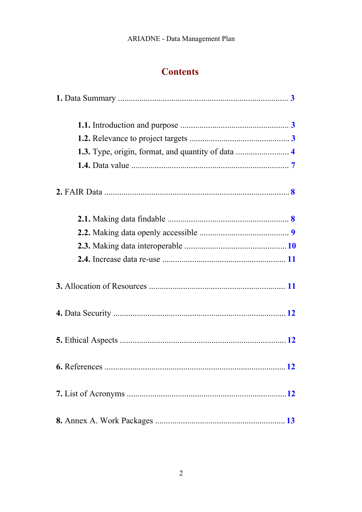# **Contents**

| 1.3. Type, origin, format, and quantity of data  4 |  |
|----------------------------------------------------|--|
|                                                    |  |
|                                                    |  |
|                                                    |  |
|                                                    |  |
|                                                    |  |
|                                                    |  |
|                                                    |  |
|                                                    |  |
|                                                    |  |
|                                                    |  |
|                                                    |  |
|                                                    |  |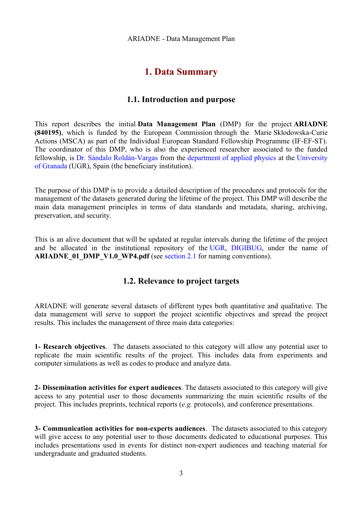# <span id="page-2-2"></span>**1. Data Summary**

#### **1.1. Introduction and purpose**

<span id="page-2-1"></span>This report describes the initial **Data Management Plan** (DMP) for the project **ARIADNE (840195)**, which is funded by the European Commission through the Marie Skłodowska-Curie Actions (MSCA) as part of the Individual European Standard Fellowship Programme (IF-EF-ST). The coordinator of this DMP, who is also the experienced researcher associated to the funded fellowship, is [Dr. Sándalo Roldán-Vargas](http://fisicaaplicada.ugr.es/pages/profesorado/sroldan?lang=en) from the [department of applied physics](http://fisicaaplicada.ugr.es/pages/profesorado?lang=en) at the [University](https://www.ugr.es/en/) [of Granada](https://www.ugr.es/en/) (UGR), Spain (the beneficiary institution).

The purpose of this DMP is to provide a detailed description of the procedures and protocols for the management of the datasets generated during the lifetime of the project. This DMP will describe the main data management principles in terms of data standards and metadata, sharing, archiving, preservation, and security.

This is an alive document that will be updated at regular intervals during the lifetime of the project and be allocated in the institutional repository of the [UGR,](https://www.ugr.es/en/) [DIGIBUG,](https://digibug.ugr.es/?locale-attribute=en) under the name of **ARIADNE** 01 DMP V1.0 WP4.pdf (see [section 2.1](#page-7-0) for naming conventions).

### <span id="page-2-0"></span>**1.2. Relevance to project targets**

ARIADNE will generate several datasets of different types both quantitative and qualitative. The data management will serve to support the project scientific objectives and spread the project results. This includes the management of three main data categories:

**1- Research objectives**. The datasets associated to this category will allow any potential user to replicate the main scientific results of the project. This includes data from experiments and computer simulations as well as codes to produce and analyze data.

**2- Dissemination activities for expert audiences**. The datasets associated to this category will give access to any potential user to those documents summarizing the main scientific results of the project. This includes preprints, technical reports (*e.g.* protocols), and conference presentations.

**3- Communication activities for non-experts audiences**. The datasets associated to this category will give access to any potential user to those documents dedicated to educational purposes. This includes presentations used in events for distinct non-expert audiences and teaching material for undergraduate and graduated students.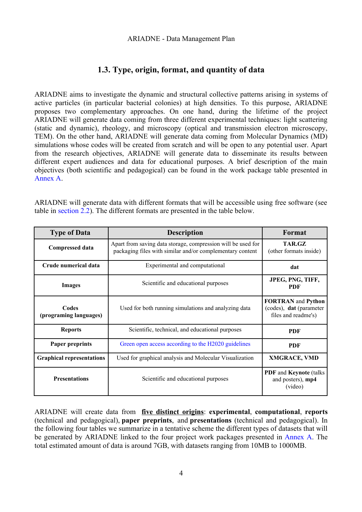## <span id="page-3-0"></span>**1.3. Type, origin, format, and quantity of data**

ARIADNE aims to investigate the dynamic and structural collective patterns arising in systems of active particles (in particular bacterial colonies) at high densities. To this purpose, ARIADNE proposes two complementary approaches. On one hand, during the lifetime of the project ARIADNE will generate data coming from three different experimental techniques: light scattering (static and dynamic), rheology, and microscopy (optical and transmission electron microscopy, TEM). On the other hand, ARIADNE will generate data coming from Molecular Dynamics (MD) simulations whose codes will be created from scratch and will be open to any potential user. Apart from the research objectives, ARIADNE will generate data to disseminate its results between different expert audiences and data for educational purposes. A brief description of the main objectives (both scientific and pedagogical) can be found in the work package table presented in [Annex A.](#page-12-0)

ARIADNE will generate data with different formats that will be accessible using free software (see table in [section 2.2\)](#page--1-1). The different formats are presented in the table below.

| <b>Type of Data</b>              | <b>Description</b>                                                                                                        | Format                                                                             |
|----------------------------------|---------------------------------------------------------------------------------------------------------------------------|------------------------------------------------------------------------------------|
| <b>Compressed data</b>           | Apart from saving data storage, compression will be used for<br>packaging files with similar and/or complementary content | TAR.GZ<br>(other formats inside)                                                   |
| Crude numerical data             | Experimental and computational                                                                                            | dat                                                                                |
| <b>Images</b>                    | Scientific and educational purposes                                                                                       | JPEG, PNG, TIFF,<br><b>PDF</b>                                                     |
| Codes<br>(programing languages)  | Used for both running simulations and analyzing data                                                                      | <b>FORTRAN</b> and <b>Python</b><br>(codes), dat (parameter<br>files and readme's) |
| <b>Reports</b>                   | Scientific, technical, and educational purposes                                                                           | <b>PDF</b>                                                                         |
| Paper preprints                  | Green open access according to the H2020 guidelines                                                                       | <b>PDF</b>                                                                         |
| <b>Graphical representations</b> | Used for graphical analysis and Molecular Visualization                                                                   | <b>XMGRACE, VMD</b>                                                                |
| <b>Presentations</b>             | Scientific and educational purposes                                                                                       | <b>PDF</b> and <b>Keynote</b> (talks)<br>and posters), mp4<br>(video)              |

ARIADNE will create data from **five distinct origins**: **experimental**, **computational**, **reports** (technical and pedagogical), **paper preprints**, and **presentations** (technical and pedagogical). In the following four tables we summarize in a tentative scheme the different types of datasets that will be generated by ARIADNE linked to the four project work packages presented in [Annex A.](#page-12-0) The total estimated amount of data is around 7GB, with datasets ranging from 10MB to 1000MB.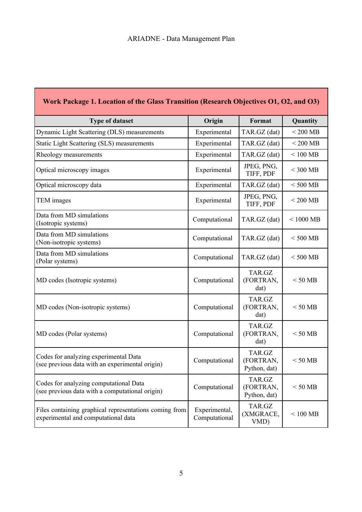Г

| Work Package 1. Location of the Glass Transition (Research Objectives O1, O2, and O3)         |                                |                                     |             |
|-----------------------------------------------------------------------------------------------|--------------------------------|-------------------------------------|-------------|
| <b>Type of dataset</b>                                                                        | Origin                         | Format                              | Quantity    |
| Dynamic Light Scattering (DLS) measurements                                                   | Experimental                   | TAR.GZ (dat)                        | $< 200$ MB  |
| Static Light Scattering (SLS) measurements                                                    | Experimental                   | TAR.GZ (dat)                        | $< 200$ MB  |
| Rheology measurements                                                                         | Experimental                   | TAR.GZ (dat)                        | $< 100$ MB  |
| Optical microscopy images                                                                     | Experimental                   | JPEG, PNG,<br>TIFF, PDF             | $< 300$ MB  |
| Optical microscopy data                                                                       | Experimental                   | TAR.GZ (dat)                        | $<$ 500 MB  |
| TEM images                                                                                    | Experimental                   | JPEG, PNG,<br>TIFF, PDF             | $<$ 200 MB  |
| Data from MD simulations<br>(Isotropic systems)                                               | Computational                  | TAR.GZ (dat)                        | $< 1000$ MB |
| Data from MD simulations<br>(Non-isotropic systems)                                           | Computational                  | TAR.GZ (dat)                        | $<$ 500 MB  |
| Data from MD simulations<br>(Polar systems)                                                   | Computational                  | TAR.GZ (dat)                        | $<$ 500 MB  |
| MD codes (Isotropic systems)                                                                  | Computational                  | TAR.GZ<br>(FORTRAN,<br>dat)         | $< 50$ MB   |
| MD codes (Non-isotropic systems)                                                              | Computational                  | TAR.GZ<br>(FORTRAN,<br>dat)         | $< 50$ MB   |
| MD codes (Polar systems)                                                                      | Computational                  | TAR.GZ<br>(FORTRAN,<br>dat)         | $< 50$ MB   |
| Codes for analyzing experimental Data<br>(see previous data with an experimental origin)      | Computational                  | TAR.GZ<br>(FORTRAN,<br>Python, dat) | $< 50$ MB   |
| Codes for analyzing computational Data<br>(see previous data with a computational origin)     | Computational                  | TAR.GZ<br>(FORTRAN,<br>Python, dat) | $< 50$ MB   |
| Files containing graphical representations coming from<br>experimental and computational data | Experimental,<br>Computational | TAR.GZ<br>(XMGRACE,<br>VMD)         | $<100$ MB   |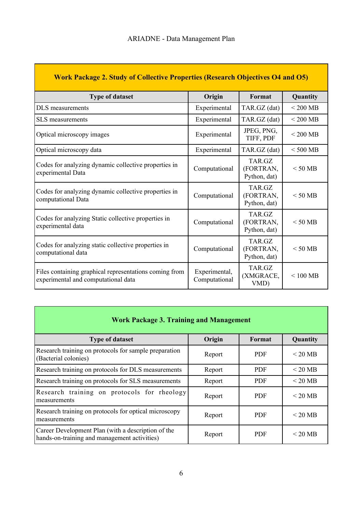| <b>Work Package 2. Study of Collective Properties (Research Objectives O4 and O5)</b>         |                                |                                     |               |
|-----------------------------------------------------------------------------------------------|--------------------------------|-------------------------------------|---------------|
| <b>Type of dataset</b>                                                                        | Origin                         | Format                              | Quantity      |
| DLS measurements                                                                              | Experimental                   | TAR.GZ (dat)                        | $< 200$ MB    |
| SLS measurements                                                                              | Experimental                   | TAR.GZ (dat)                        | $<$ 200 MB    |
| Optical microscopy images                                                                     | Experimental                   | JPEG, PNG,<br>TIFF, PDF             | $< 200$ MB    |
| Optical microscopy data                                                                       | Experimental                   | TAR.GZ (dat)                        | $< 500$ MB    |
| Codes for analyzing dynamic collective properties in<br>experimental Data                     | Computational                  | TAR.GZ<br>(FORTRAN,<br>Python, dat) | $<$ 50 MB     |
| Codes for analyzing dynamic collective properties in<br>computational Data                    | Computational                  | TAR.GZ<br>(FORTRAN,<br>Python, dat) | $\leq 50$ MB  |
| Codes for analyzing Static collective properties in<br>experimental data                      | Computational                  | TAR.GZ<br>(FORTRAN,<br>Python, dat) | $< 50$ MB     |
| Codes for analyzing static collective properties in<br>computational data                     | Computational                  | TAR.GZ<br>(FORTRAN,<br>Python, dat) | $<$ 50 MB     |
| Files containing graphical representations coming from<br>experimental and computational data | Experimental,<br>Computational | TAR.GZ<br>(XMGRACE,<br>VMD)         | $\leq 100$ MB |

| <b>Work Package 3. Training and Management</b>                                                     |        |            |                   |
|----------------------------------------------------------------------------------------------------|--------|------------|-------------------|
| <b>Type of dataset</b>                                                                             | Origin | Format     | Quantity          |
| Research training on protocols for sample preparation<br>(Bacterial colonies)                      | Report | <b>PDF</b> | $\leq$ 20 MB      |
| Research training on protocols for DLS measurements                                                | Report | <b>PDF</b> | $\leq$ 20 MB      |
| Research training on protocols for SLS measurements                                                | Report | <b>PDF</b> | $<$ 20 MB         |
| Research training on protocols for rheology<br>measurements                                        | Report | <b>PDF</b> | $< 20 \text{ MB}$ |
| Research training on protocols for optical microscopy<br>measurements                              | Report | <b>PDF</b> | $< 20 \text{ MB}$ |
| Career Development Plan (with a description of the<br>hands-on-training and management activities) | Report | <b>PDF</b> | $\leq$ 20 MB      |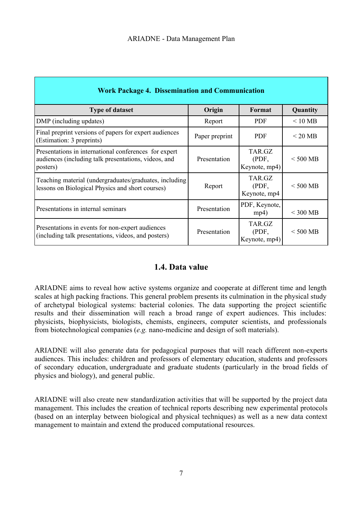| <b>Work Package 4. Dissemination and Communication</b>                                                                    |                |                                  |                       |
|---------------------------------------------------------------------------------------------------------------------------|----------------|----------------------------------|-----------------------|
| <b>Type of dataset</b>                                                                                                    | Origin         | Format                           | Quantity              |
| DMP (including updates)                                                                                                   | Report         | <b>PDF</b>                       | $\leq 10~\mathrm{MB}$ |
| Final preprint versions of papers for expert audiences<br>(Estimation: 3 preprints)                                       | Paper preprint | <b>PDF</b>                       | $\leq$ 20 MB          |
| Presentations in international conferences for expert<br>audiences (including talk presentations, videos, and<br>posters) | Presentation   | TAR.GZ<br>(PDF,<br>Keynote, mp4) | $<$ 500 MB            |
| Teaching material (undergraduates/graduates, including<br>lessons on Biological Physics and short courses)                | Report         | TAR.GZ<br>(PDF,<br>Keynote, mp4  | $<$ 500 MB            |
| Presentations in internal seminars                                                                                        | Presentation   | PDF, Keynote,<br>mp4)            | $<$ 300 MB            |
| Presentations in events for non-expert audiences<br>(including talk presentations, videos, and posters)                   | Presentation   | TAR.GZ<br>(PDF,<br>Keynote, mp4) | $<$ 500 MB            |

### <span id="page-6-0"></span>**1.4. Data value**

ARIADNE aims to reveal how active systems organize and cooperate at different time and length scales at high packing fractions. This general problem presents its culmination in the physical study of archetypal biological systems: bacterial colonies. The data supporting the project scientific results and their dissemination will reach a broad range of expert audiences. This includes: physicists, biophysicists, biologists, chemists, engineers, computer scientists, and professionals from biotechnological companies (*e.g.* nano-medicine and design of soft materials).

ARIADNE will also generate data for pedagogical purposes that will reach different non-experts audiences. This includes: children and professors of elementary education, students and professors of secondary education, undergraduate and graduate students (particularly in the broad fields of physics and biology), and general public.

ARIADNE will also create new standardization activities that will be supported by the project data management. This includes the creation of technical reports describing new experimental protocols (based on an interplay between biological and physical techniques) as well as a new data context management to maintain and extend the produced computational resources.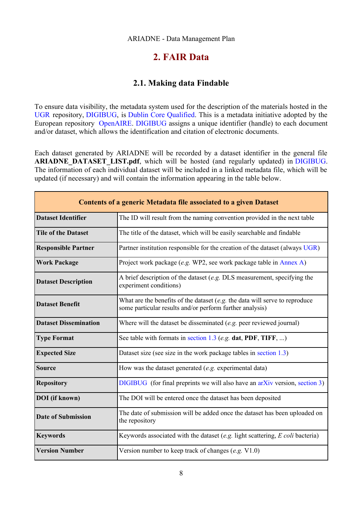#### ARIADNE - Data Management Plan

## <span id="page-7-1"></span>**2. FAIR Data**

#### <span id="page-7-0"></span>**2.1. Making data Findable**

To ensure data visibility, the metadata system used for the description of the materials hosted in the [UGR](https://www.ugr.es/en/) repository, [DIGIBUG,](https://digibug.ugr.es/?locale-attribute=en) is [Dublin Core Qualified.](https://www.dublincore.org/) This is a metadata initiative adopted by the European repository [OpenAIRE.](https://www.openaire.eu/) [DIGIBUG](https://digibug.ugr.es/?locale-attribute=en) assigns a unique identifier (handle) to each document and/or dataset, which allows the identification and citation of electronic documents.

Each dataset generated by ARIADNE will be recorded by a dataset identifier in the general file **ARIADNE DATASET LIST.pdf**, which will be hosted (and regularly updated) in [DIGIBUG.](https://digibug.ugr.es/?locale-attribute=en) The information of each individual dataset will be included in a linked metadata file, which will be updated (if necessary) and will contain the information appearing in the table below.

| <b>Contents of a generic Metadata file associated to a given Dataset</b> |                                                                                                                                           |  |
|--------------------------------------------------------------------------|-------------------------------------------------------------------------------------------------------------------------------------------|--|
| <b>Dataset Identifier</b>                                                | The ID will result from the naming convention provided in the next table                                                                  |  |
| <b>Tile of the Dataset</b>                                               | The title of the dataset, which will be easily searchable and findable                                                                    |  |
| <b>Responsible Partner</b>                                               | Partner institution responsible for the creation of the dataset (always UGR)                                                              |  |
| <b>Work Package</b>                                                      | Project work package (e.g. WP2, see work package table in Annex A)                                                                        |  |
| <b>Dataset Description</b>                                               | A brief description of the dataset $(e.g.$ DLS measurement, specifying the<br>experiment conditions)                                      |  |
| <b>Dataset Benefit</b>                                                   | What are the benefits of the dataset $(e.g.$ the data will serve to reproduce<br>some particular results and/or perform further analysis) |  |
| <b>Dataset Dissemination</b>                                             | Where will the dataset be disseminated $(e.g.$ peer reviewed journal)                                                                     |  |
| <b>Type Format</b>                                                       | See table with formats in section 1.3 (e.g. dat, PDF, TIFF, )                                                                             |  |
| <b>Expected Size</b>                                                     | Dataset size (see size in the work package tables in section 1.3)                                                                         |  |
| <b>Source</b>                                                            | How was the dataset generated $(e.g.$ experimental data)                                                                                  |  |
| <b>Repository</b>                                                        | $DIGIBUG$ (for final preprints we will also have an $arXiv$ version, section 3)                                                           |  |
| <b>DOI</b> (if known)                                                    | The DOI will be entered once the dataset has been deposited                                                                               |  |
| <b>Date of Submission</b>                                                | The date of submission will be added once the dataset has been uploaded on<br>the repository                                              |  |
| <b>Keywords</b>                                                          | Keywords associated with the dataset (e.g. light scattering, E coli bacteria)                                                             |  |
| <b>Version Number</b>                                                    | Version number to keep track of changes $(e.g. V1.0)$                                                                                     |  |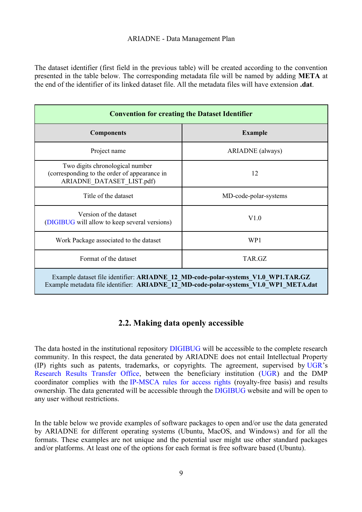#### ARIADNE - Data Management Plan

The dataset identifier (first field in the previous table) will be created according to the convention presented in the table below. The corresponding metadata file will be named by adding **META** at the end of the identifier of its linked dataset file. All the metadata files will have extension **.dat**.

| <b>Convention for creating the Dataset Identifier</b>                                                                                                                     |                         |  |
|---------------------------------------------------------------------------------------------------------------------------------------------------------------------------|-------------------------|--|
| <b>Components</b>                                                                                                                                                         | <b>Example</b>          |  |
| Project name                                                                                                                                                              | <b>ARIADNE</b> (always) |  |
| Two digits chronological number<br>(corresponding to the order of appearance in<br>ARIADNE DATASET LIST.pdf)                                                              | 12                      |  |
| Title of the dataset                                                                                                                                                      | MD-code-polar-systems   |  |
| Version of the dataset<br>(DIGIBUG will allow to keep several versions)                                                                                                   | V1.0                    |  |
| Work Package associated to the dataset                                                                                                                                    | WP1                     |  |
| Format of the dataset                                                                                                                                                     | TAR.GZ                  |  |
| Example dataset file identifier: ARIADNE_12_MD-code-polar-systems_V1.0_WP1.TAR.GZ<br>Example metadata file identifier: ARIADNE_12_MD-code-polar-systems_V1.0 WP1 META.dat |                         |  |

### <span id="page-8-0"></span>**2.2. Making data openly accessible**

The data hosted in the institutional repository [DIGIBUG](https://digibug.ugr.es/?locale-attribute=en) will be accessible to the complete research community. In this respect, the data generated by ARIADNE does not entail Intellectual Property (IP) rights such as patents, trademarks, or copyrights. The agreement, supervised by [UGR'](https://www.ugr.es/en/)s [Research Results Transfer Office,](https://otri.ugr.es/?set_language=en) between the beneficiary institution [\(UGR\)](https://www.ugr.es/en/) and the DMP coordinator complies with the [IP-MSCA rules for access rights](https://ec.europa.eu/research/participants/docs/h2020-funding-guide/user-account-and-roles/roles-and-access-rights_en.htm#RolesMSCA) (royalty-free basis) and results ownership. The data generated will be accessible through the [DIGIBUG](https://digibug.ugr.es/?locale-attribute=en) website and will be open to any user without restrictions.

In the table below we provide examples of software packages to open and/or use the data generated by ARIADNE for different operating systems (Ubuntu, MacOS, and Windows) and for all the formats. These examples are not unique and the potential user might use other standard packages and/or platforms. At least one of the options for each format is free software based (Ubuntu).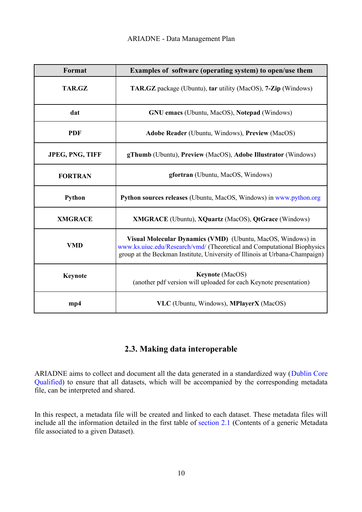| Format                 | Examples of software (operating system) to open/use them                                                                                                                                                              |
|------------------------|-----------------------------------------------------------------------------------------------------------------------------------------------------------------------------------------------------------------------|
| <b>TAR.GZ</b>          | <b>TAR.GZ</b> package (Ubuntu), tar utility (MacOS), <b>7-Zip</b> (Windows)                                                                                                                                           |
| dat                    | <b>GNU</b> emacs (Ubuntu, MacOS), Notepad (Windows)                                                                                                                                                                   |
| <b>PDF</b>             | <b>Adobe Reader</b> (Ubuntu, Windows), Preview (MacOS)                                                                                                                                                                |
| <b>JPEG, PNG, TIFF</b> | <b>gThumb</b> (Ubuntu), Preview (MacOS), Adobe Illustrator (Windows)                                                                                                                                                  |
| <b>FORTRAN</b>         | gfortran (Ubuntu, MacOS, Windows)                                                                                                                                                                                     |
| Python                 | <b>Python sources releases</b> (Ubuntu, MacOS, Windows) in www.python.org                                                                                                                                             |
| <b>XMGRACE</b>         | <b>XMGRACE</b> (Ubuntu), <b>XQuartz</b> (MacOS), <b>QtGrace</b> (Windows)                                                                                                                                             |
| <b>VMD</b>             | Visual Molecular Dynamics (VMD) (Ubuntu, MacOS, Windows) in<br>www.ks.uiuc.edu/Research/vmd/ (Theoretical and Computational Biophysics<br>group at the Beckman Institute, University of Illinois at Urbana-Champaign) |
| <b>Keynote</b>         | <b>Keynote</b> (MacOS)<br>(another pdf version will uploaded for each Keynote presentation)                                                                                                                           |
| mp4                    | VLC (Ubuntu, Windows), MPlayerX (MacOS)                                                                                                                                                                               |

## <span id="page-9-0"></span>**2.3. Making data interoperable**

ARIADNE aims to collect and document all the data generated in a standardized way ([Dublin Core](https://www.dublincore.org/) [Qualified\)](https://www.dublincore.org/) to ensure that all datasets, which will be accompanied by the corresponding metadata file, can be interpreted and shared.

In this respect, a metadata file will be created and linked to each dataset. These metadata files will include all the information detailed in the first table of [section 2.1](#page-7-0) (Contents of a generic Metadata file associated to a given Dataset).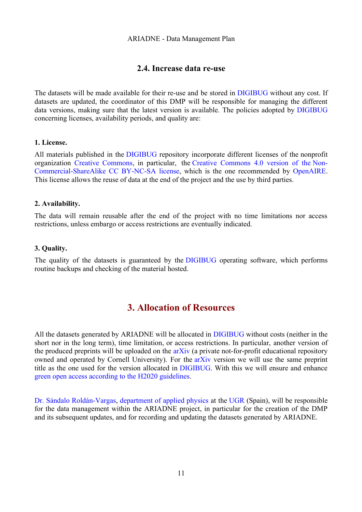#### <span id="page-10-1"></span>**2.4. Increase data re-use**

The datasets will be made available for their re-use and be stored in [DIGIBUG](https://digibug.ugr.es/?locale-attribute=en) without any cost. If datasets are updated, the coordinator of this DMP will be responsible for managing the different data versions, making sure that the latest version is available. The policies adopted by [DIGIBUG](https://digibug.ugr.es/?locale-attribute=en) concerning licenses, availability periods, and quality are:

#### **1. License.**

All materials published in the [DIGIBUG](https://digibug.ugr.es/?locale-attribute=en) repository incorporate different licenses of the nonprofit organization [Creative Commons,](https://creativecommons.org/about/) in particular, the [Creative Commons 4.0 version of the](https://creativecommons.org/share-your-work/licensing-examples/#by-nc-sa) [Non-](https://creativecommons.org/share-your-work/licensing-examples/#by-nc-sa)[Commercial-ShareAlike CC BY-NC-SA license,](https://creativecommons.org/share-your-work/licensing-examples/#by-nc-sa) which is the one recommended by [OpenAIRE.](https://www.openaire.eu/) This license allows the reuse of data at the end of the project and the use by third parties.

#### **2. Availability.**

The data will remain reusable after the end of the project with no time limitations nor access restrictions, unless embargo or access restrictions are eventually indicated.

#### **3. Quality.**

The quality of the datasets is guaranteed by the [DIGIBUG](https://digibug.ugr.es/?locale-attribute=en) operating software, which performs routine backups and checking of the material hosted.

## <span id="page-10-0"></span>**3. Allocation of Resources**

All the datasets generated by ARIADNE will be allocated in [DIGIBUG](https://digibug.ugr.es/?locale-attribute=en) without costs (neither in the short nor in the long term), time limitation, or access restrictions. In particular, another version of the produced preprints will be uploaded on the  $a\bar{x}$  arkiv (a private not-for-profit educational repository owned and operated by Cornell University). For the [arXiv](https://arxiv.org/) version we will use the same preprint title as the one used for the version allocated in [DIGIBUG.](https://digibug.ugr.es/?locale-attribute=en) With this we will ensure and enhance [green open access according to the H2020 guidelines.](https://ec.europa.eu/research/participants/data/ref/h2020/grants_manual/hi/oa_pilot/h2020-hi-oa-pilot-guide_en.pdf)

[Dr. Sándalo Roldán-Vargas,](http://fisicaaplicada.ugr.es/pages/profesorado/sroldan?lang=en) [department of applied physics](http://fisicaaplicada.ugr.es/pages/profesorado?lang=en) at the [UGR](https://www.ugr.es/en/) (Spain), will be responsible for the data management within the ARIADNE project, in particular for the creation of the DMP and its subsequent updates, and for recording and updating the datasets generated by ARIADNE.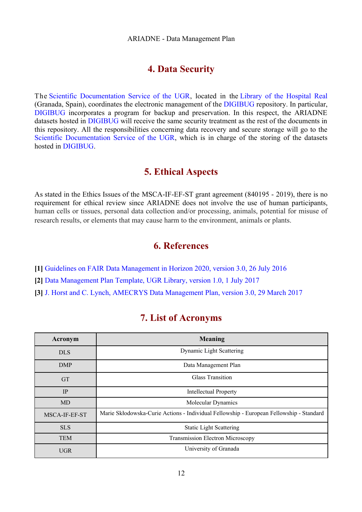## <span id="page-11-0"></span>**4. Data Security**

The [Scientific Documentation Service of the UGR,](https://biblioteca.ugr.es/pages/biblioteca_ugr/servicios_centralizados/documentacion?lang=en) located in the [Library of the Hospital Real](https://biblioteca.ugr.es/pages/biblioteca_ugr/bibliotecas_centros/bibhre) (Granada, Spain), coordinates the electronic management of the [DIGIBUG](https://digibug.ugr.es/?locale-attribute=en) repository. In particular, [DIGIBUG](https://digibug.ugr.es/?locale-attribute=en) incorporates a program for backup and preservation. In this respect, the ARIADNE datasets hosted in [DIGIBUG](https://digibug.ugr.es/?locale-attribute=en) will receive the same security treatment as the rest of the documents in this repository. All the responsibilities concerning data recovery and secure storage will go to the [Scientific Documentation Service of the UGR,](https://biblioteca.ugr.es/pages/biblioteca_ugr/servicios_centralizados/documentacion?lang=en) which is in charge of the storing of the datasets hosted in [DIGIBUG.](https://digibug.ugr.es/?locale-attribute=en)

## **5. Ethical Aspects**

As stated in the Ethics Issues of the MSCA-IF-EF-ST grant agreement (840195 - 2019), there is no requirement for ethical review since ARIADNE does not involve the use of human participants, human cells or tissues, personal data collection and/or processing, animals, potential for misuse of research results, or elements that may cause harm to the environment, animals or plants.

## **6. References**

- **[1]** [Guidelines on FAIR Data Management in Horizon 2020, version 3.0, 26 July 2016](https://ec.europa.eu/research/participants/data/ref/h2020/grants_manual/hi/oa_pilot/h2020-hi-oa-data-mgt_en.pdf)
- **[2]** [Data Management Plan Template,](https://digibug.ugr.es/bitstream/handle/10481/47285/Template_DMP_v2_English%20version.pdf?sequence=6&isAllowed=y) [UGR Library, version 1.0, 1 July 2017](https://digibug.ugr.es/bitstream/handle/10481/47285/Template_DMP_v2_English%20version.pdf?sequence=6&isAllowed=y)
- **[3]** [J. Horst and C. Lynch, AMECRYS Data Management Plan, version 3.0, 29 March 2017](http://www.amecrys-project.eu/images/documents/Deliverable-7.2---Data-Management-Plan.pdf)

## **7. List of Acronyms**

| Acronym       | <b>Meaning</b>                                                                          |
|---------------|-----------------------------------------------------------------------------------------|
| <b>DLS</b>    | Dynamic Light Scattering                                                                |
| DMP           | Data Management Plan                                                                    |
| <b>GT</b>     | Glass Transition                                                                        |
| IP            | <b>Intellectual Property</b>                                                            |
| <b>MD</b>     | Molecular Dynamics                                                                      |
| MSCA-IF-EF-ST | Marie Skłodowska-Curie Actions - Individual Fellowship - European Fellowship - Standard |
| <b>SLS</b>    | <b>Static Light Scattering</b>                                                          |
| <b>TEM</b>    | <b>Transmission Electron Microscopy</b>                                                 |
| <b>UGR</b>    | University of Granada                                                                   |